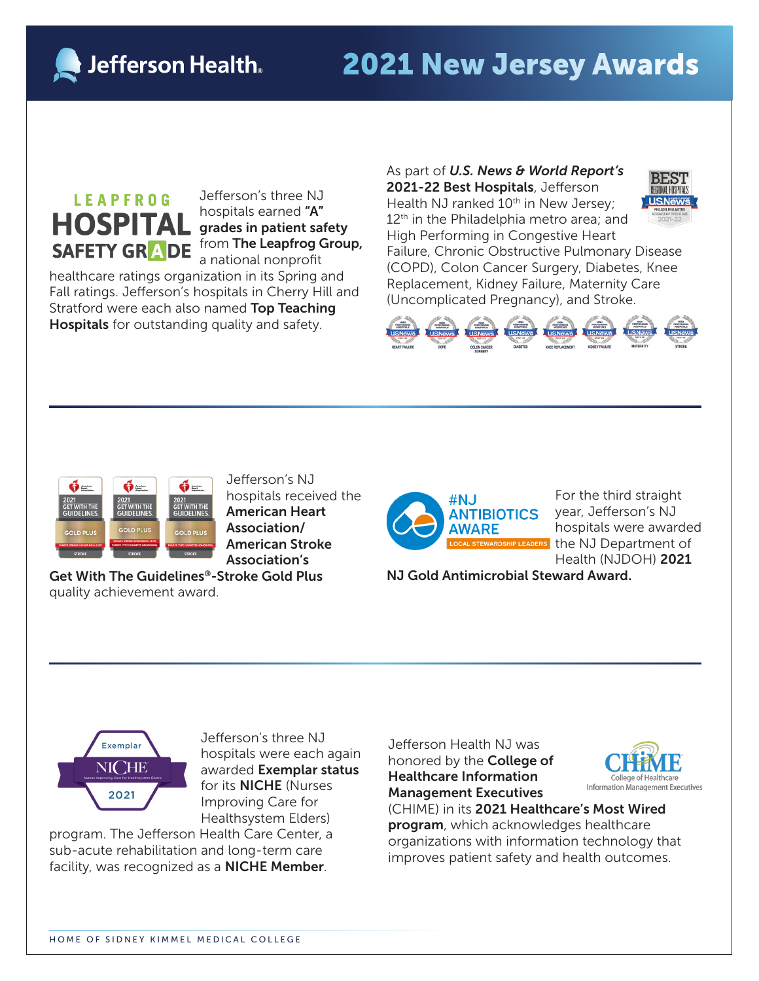**Jefferson Health** 

## 2021 New Jersey Awards

## **LEAPFROG HOSPITAL** SAFETY GRADE

Jefferson's three NJ hospitals earned "A" grades in patient safety from The Leapfrog Group, a national nonprofit

healthcare ratings organization in its Spring and Fall ratings. Jefferson's hospitals in Cherry Hill and Stratford were each also named Top Teaching Hospitals for outstanding quality and safety.

As part of *U.S. News & World Report's* BEST 2021-22 Best Hospitals, Jefferson **U.S.News** Health NJ ranked 10<sup>th</sup> in New Jersey;  $12<sup>th</sup>$  in the Philadelphia metro area; and High Performing in Congestive Heart Failure, Chronic Obstructive Pulmonary Disease (COPD), Colon Cancer Surgery, Diabetes, Knee Replacement, Kidney Failure, Maternity Care (Uncomplicated Pregnancy), and Stroke.





Jefferson's NJ hospitals received the American Heart Association/ American Stroke Association's

Get With The Guidelines®-Stroke Gold Plus quality achievement award.



For the third straight year, Jefferson's NJ hospitals were awarded the NJ Department of Health (NJDOH) 2021

NJ Gold Antimicrobial Steward Award.



Jefferson's three NJ hospitals were each again awarded Exemplar status for its NICHE (Nurses Improving Care for Healthsystem Elders)

program. The Jefferson Health Care Center, a sub-acute rehabilitation and long-term care facility, was recognized as a NICHE Member.

Jefferson Health NJ was honored by the College of Healthcare Information Management Executives



(CHIME) in its 2021 Healthcare's Most Wired program, which acknowledges healthcare organizations with information technology that improves patient safety and health outcomes.